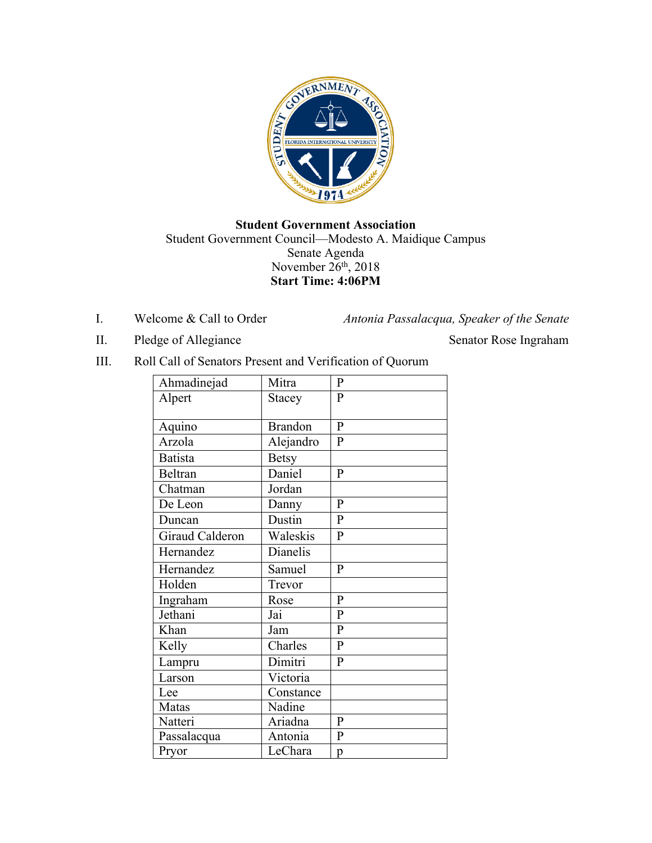

## **Student Government Association** Student Government Council—Modesto A. Maidique Campus Senate Agenda November 26<sup>th</sup>, 2018 **Start Time: 4:06PM**

I. Welcome & Call to Order *Antonia Passalacqua, Speaker of the Senate*

II. Pledge of Allegiance Senator Rose Ingraham

III. Roll Call of Senators Present and Verification of Quorum

| Ahmadinejad     | Mitra          | P              |
|-----------------|----------------|----------------|
| Alpert          | Stacey         | $\mathbf{P}$   |
|                 |                |                |
| Aquino          | <b>Brandon</b> | $\mathbf{P}$   |
| Arzola          | Alejandro      | $\overline{P}$ |
| <b>Batista</b>  | <b>Betsy</b>   |                |
| Beltran         | Daniel         | P              |
| Chatman         | Jordan         |                |
| De Leon         | Danny          | P              |
| Duncan          | Dustin         | $\mathbf{P}$   |
| Giraud Calderon | Waleskis       | $\mathbf{P}$   |
| Hernandez       | Dianelis       |                |
| Hernandez       | Samuel         | P              |
| Holden          | Trevor         |                |
| Ingraham        | Rose           | P              |
| Jethani         | Jai            | P              |
| Khan            | Jam            | $\mathbf{P}$   |
| Kelly           | Charles        | $\mathbf{P}$   |
| Lampru          | Dimitri        | P              |
| Larson          | Victoria       |                |
| Lee             | Constance      |                |
| Matas           | Nadine         |                |
| Natteri         | Ariadna        | P              |
| Passalacqua     | Antonia        | $\mathbf P$    |
| Pryor           | LeChara        | p              |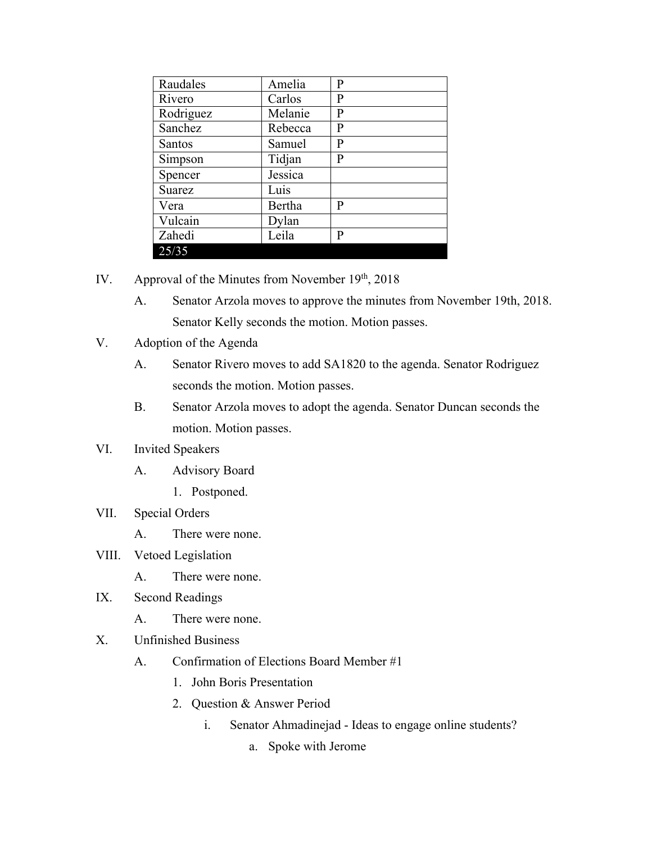| Raudales      | Amelia  | P |
|---------------|---------|---|
| Rivero        | Carlos  | P |
| Rodriguez     | Melanie | P |
| Sanchez       | Rebecca | P |
| <b>Santos</b> | Samuel  | P |
| Simpson       | Tidjan  | P |
| Spencer       | Jessica |   |
| Suarez        | Luis    |   |
| Vera          | Bertha  | P |
| Vulcain       | Dylan   |   |
| Zahedi        | Leila   | P |
| 25/35         |         |   |

- IV. Approval of the Minutes from November  $19<sup>th</sup>$ , 2018
	- A. Senator Arzola moves to approve the minutes from November 19th, 2018. Senator Kelly seconds the motion. Motion passes.
- V. Adoption of the Agenda
	- A. Senator Rivero moves to add SA1820 to the agenda. Senator Rodriguez seconds the motion. Motion passes.
	- B. Senator Arzola moves to adopt the agenda. Senator Duncan seconds the motion. Motion passes.

## VI. Invited Speakers

- A. Advisory Board
	- 1. Postponed.

## VII. Special Orders

- A. There were none.
- VIII. Vetoed Legislation
	- A. There were none.
- IX. Second Readings
	- A. There were none.
- X. Unfinished Business
	- A. Confirmation of Elections Board Member #1
		- 1. John Boris Presentation
		- 2. Question & Answer Period
			- i. Senator Ahmadinejad Ideas to engage online students?
				- a. Spoke with Jerome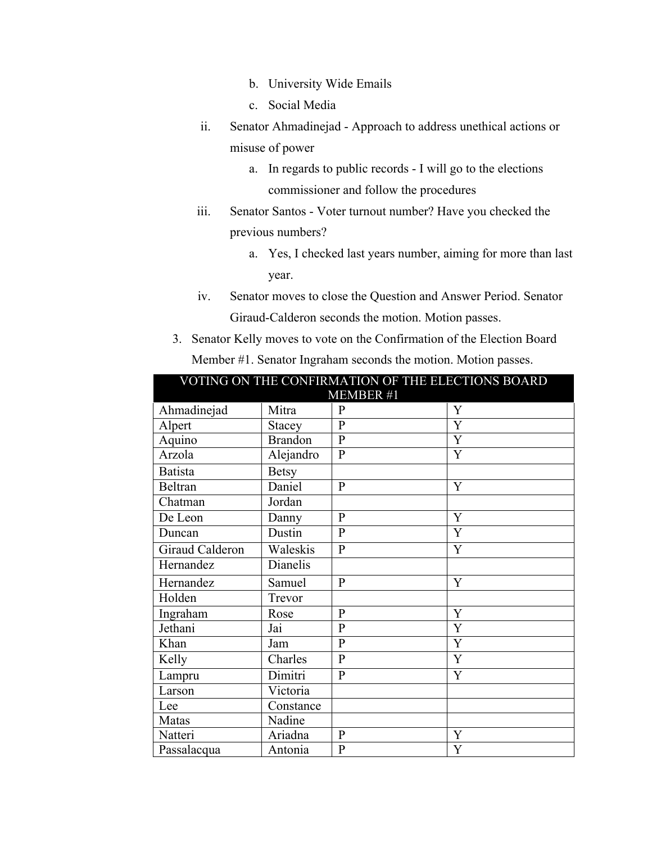- b. University Wide Emails
- c. Social Media
- ii. Senator Ahmadinejad Approach to address unethical actions or misuse of power
	- a. In regards to public records I will go to the elections commissioner and follow the procedures
- iii. Senator Santos Voter turnout number? Have you checked the previous numbers?
	- a. Yes, I checked last years number, aiming for more than last year.
- iv. Senator moves to close the Question and Answer Period. Senator Giraud-Calderon seconds the motion. Motion passes.
- 3. Senator Kelly moves to vote on the Confirmation of the Election Board Member #1. Senator Ingraham seconds the motion. Motion passes.

| VOTING ON THE CONFIRMATION OF THE ELECTIONS BOARD |                |              |                |
|---------------------------------------------------|----------------|--------------|----------------|
| <b>MEMBER #1</b>                                  |                |              |                |
| Ahmadinejad                                       | Mitra          | $\mathbf{P}$ | Y              |
| Alpert                                            | Stacey         | $\mathbf{P}$ | $\overline{Y}$ |
| Aquino                                            | <b>Brandon</b> | $\mathbf{P}$ | Y              |
| Arzola                                            | Alejandro      | $\mathbf{P}$ | Y              |
| <b>Batista</b>                                    | <b>Betsy</b>   |              |                |
| Beltran                                           | Daniel         | $\mathbf{P}$ | Y              |
| Chatman                                           | Jordan         |              |                |
| De Leon                                           | Danny          | $\mathbf{P}$ | Y              |
| Duncan                                            | Dustin         | $\mathbf{P}$ | Y              |
| Giraud Calderon                                   | Waleskis       | $\mathbf{P}$ | Y              |
| Hernandez                                         | Dianelis       |              |                |
| Hernandez                                         | Samuel         | $\mathbf{P}$ | Y              |
| Holden                                            | Trevor         |              |                |
| Ingraham                                          | Rose           | $\mathbf{P}$ | Y              |
| Jethani                                           | Jai            | $\mathbf{P}$ | Y              |
| Khan                                              | Jam            | $\mathbf{P}$ | Y              |
| Kelly                                             | Charles        | $\mathbf{P}$ | Y              |
| Lampru                                            | Dimitri        | P            | Y              |
| Larson                                            | Victoria       |              |                |
| Lee                                               | Constance      |              |                |
| Matas                                             | Nadine         |              |                |
| Natteri                                           | Ariadna        | $\mathbf{P}$ | Y              |
| Passalacqua                                       | Antonia        | $\mathbf{P}$ | Y              |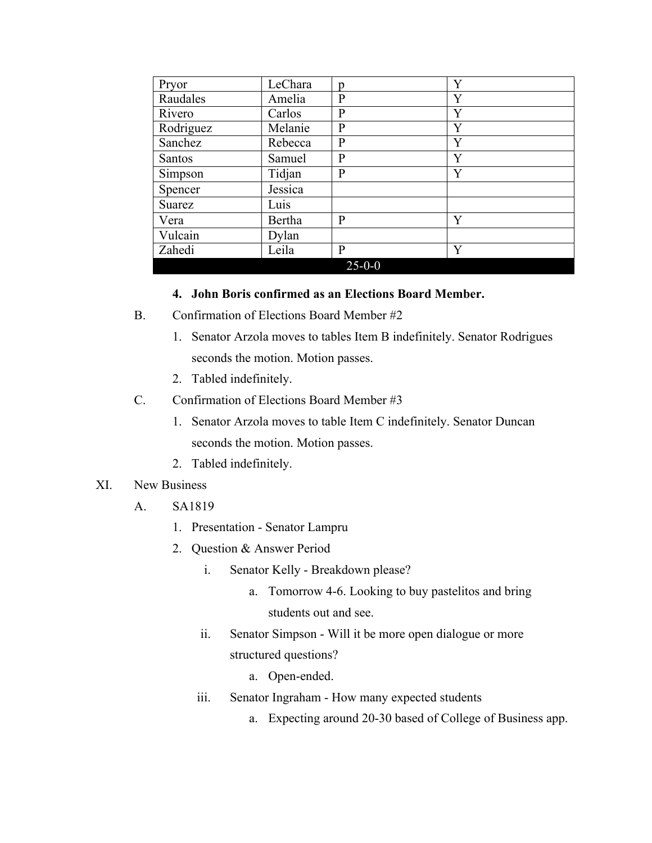| Pryor     | LeChara | D            | Y |
|-----------|---------|--------------|---|
| Raudales  | Amelia  | P            | Y |
| Rivero    | Carlos  | P            | Y |
| Rodriguez | Melanie | P            | Y |
| Sanchez   | Rebecca | P            | Y |
| Santos    | Samuel  | P            | Y |
| Simpson   | Tidjan  | P            | Y |
| Spencer   | Jessica |              |   |
| Suarez    | Luis    |              |   |
| Vera      | Bertha  | P            | Y |
| Vulcain   | Dylan   |              |   |
| Zahedi    | Leila   | P            | Y |
|           |         | $25 - 0 - 0$ |   |

#### **4. John Boris confirmed as an Elections Board Member.**

- B. Confirmation of Elections Board Member #2
	- 1. Senator Arzola moves to tables Item B indefinitely. Senator Rodrigues seconds the motion. Motion passes.
	- 2. Tabled indefinitely.
- C. Confirmation of Elections Board Member #3
	- 1. Senator Arzola moves to table Item C indefinitely. Senator Duncan seconds the motion. Motion passes.
	- 2. Tabled indefinitely.
- XI. New Business
	- A. SA1819
		- 1. Presentation Senator Lampru
		- 2. Question & Answer Period
			- i. Senator Kelly Breakdown please?
				- a. Tomorrow 4-6. Looking to buy pastelitos and bring students out and see.
			- ii. Senator Simpson Will it be more open dialogue or more structured questions?
				- a. Open-ended.
			- iii. Senator Ingraham How many expected students
				- a. Expecting around 20-30 based of College of Business app.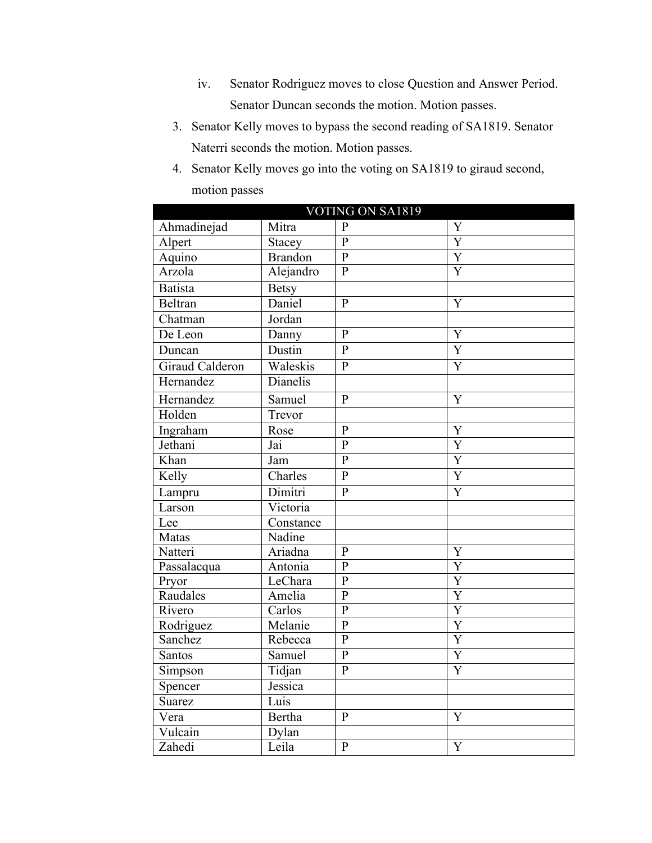- iv. Senator Rodriguez moves to close Question and Answer Period. Senator Duncan seconds the motion. Motion passes.
- 3. Senator Kelly moves to bypass the second reading of SA1819. Senator Naterri seconds the motion. Motion passes.
- 4. Senator Kelly moves go into the voting on SA1819 to giraud second, motion passes

| VOTING ON SA1819          |                |                         |                         |
|---------------------------|----------------|-------------------------|-------------------------|
| Ahmadinejad               | Mitra          | $\mathbf{P}$            | Y                       |
| Alpert                    | Stacey         | $\overline{P}$          | $\overline{\text{Y}}$   |
| Aquino                    | <b>Brandon</b> | $\overline{P}$          | $\overline{Y}$          |
| Arzola                    | Alejandro      | $\overline{P}$          | $\overline{\text{Y}}$   |
| <b>Batista</b>            | <b>Betsy</b>   |                         |                         |
| Beltran                   | Daniel         | $\overline{P}$          | Y                       |
| Chatman                   | Jordan         |                         |                         |
| De Leon                   | Danny          | $\overline{P}$          | Y                       |
| Duncan                    | Dustin         | $\overline{P}$          | $\overline{Y}$          |
| Giraud Calderon           | Waleskis       | $\mathbf{P}$            | $\overline{Y}$          |
| Hernandez                 | Dianelis       |                         |                         |
| Hernandez                 | Samuel         | $\overline{P}$          | $\overline{Y}$          |
| Holden                    | Trevor         |                         |                         |
| Ingraham                  | Rose           | $\overline{P}$          | Y                       |
| Jethani                   | Jai            | $\overline{P}$          | $\overline{Y}$          |
| $\overline{\text{K}}$ han | Jam            | $\overline{P}$          | $\overline{Y}$          |
| Kelly                     | Charles        | $\overline{\mathrm{P}}$ | $\overline{Y}$          |
| Lampru                    | Dimitri        | $\overline{P}$          | $\overline{Y}$          |
| Larson                    | Victoria       |                         |                         |
| Lee                       | Constance      |                         |                         |
| Matas                     | Nadine         |                         |                         |
| Natteri                   | Ariadna        | $\mathbf{P}$            | Y                       |
| Passalacqua               | Antonia        | $\overline{P}$          | $\overline{\text{Y}}$   |
| Pryor                     | LeChara        | $\mathbf{P}$            | Y                       |
| Raudales                  | Amelia         | $\overline{P}$          | $\overline{\mathrm{Y}}$ |
| Rivero                    | Carlos         | $\overline{P}$          | $\overline{\text{Y}}$   |
| Rodriguez                 | Melanie        | $\overline{P}$          | $\overline{\text{Y}}$   |
| Sanchez                   | Rebecca        | $\overline{P}$          | $\overline{\rm Y}$      |
| Santos                    | Samuel         | $\overline{P}$          | $\overline{\text{Y}}$   |
| Simpson                   | Tidjan         | $\overline{P}$          | $\overline{Y}$          |
| Spencer                   | Jessica        |                         |                         |
| Suarez                    | Luis           |                         |                         |
| Vera                      | Bertha         | $\mathbf{P}$            | Y                       |
| Vulcain                   | Dylan          |                         |                         |
| Zahedi                    | Leila          | $\overline{P}$          | $\overline{Y}$          |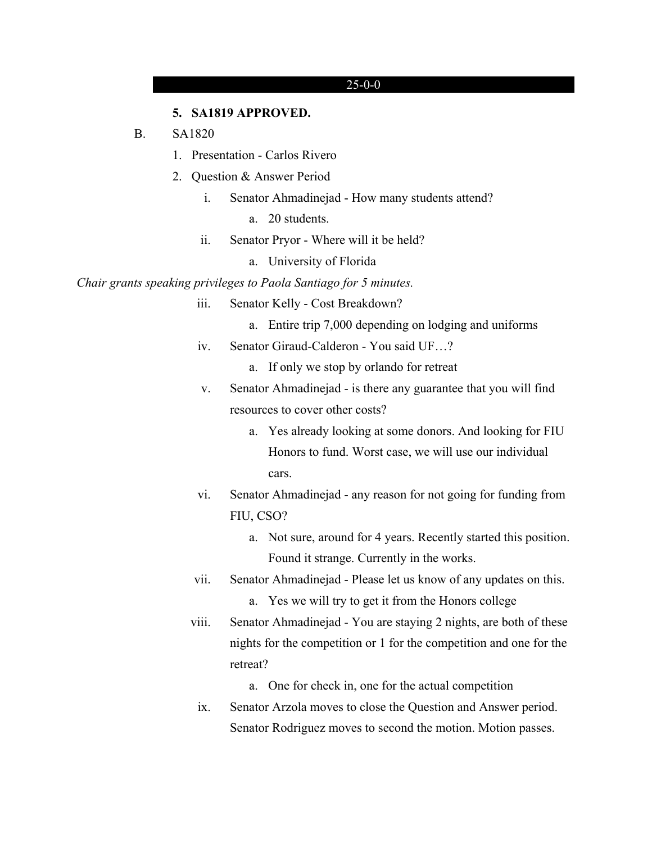#### **5. SA1819 APPROVED.**

#### B. SA1820

- 1. Presentation Carlos Rivero
- 2. Question & Answer Period
	- i. Senator Ahmadinejad How many students attend?
		- a. 20 students.
	- ii. Senator Pryor Where will it be held?
		- a. University of Florida

*Chair grants speaking privileges to Paola Santiago for 5 minutes.*

- iii. Senator Kelly Cost Breakdown?
	- a. Entire trip 7,000 depending on lodging and uniforms
- iv. Senator Giraud-Calderon You said UF…?

a. If only we stop by orlando for retreat

- v. Senator Ahmadinejad is there any guarantee that you will find resources to cover other costs?
	- a. Yes already looking at some donors. And looking for FIU Honors to fund. Worst case, we will use our individual cars.
- vi. Senator Ahmadinejad any reason for not going for funding from FIU, CSO?
	- a. Not sure, around for 4 years. Recently started this position. Found it strange. Currently in the works.
- vii. Senator Ahmadinejad Please let us know of any updates on this.
	- a. Yes we will try to get it from the Honors college
- viii. Senator Ahmadinejad You are staying 2 nights, are both of these nights for the competition or 1 for the competition and one for the retreat?
	- a. One for check in, one for the actual competition
	- ix. Senator Arzola moves to close the Question and Answer period. Senator Rodriguez moves to second the motion. Motion passes.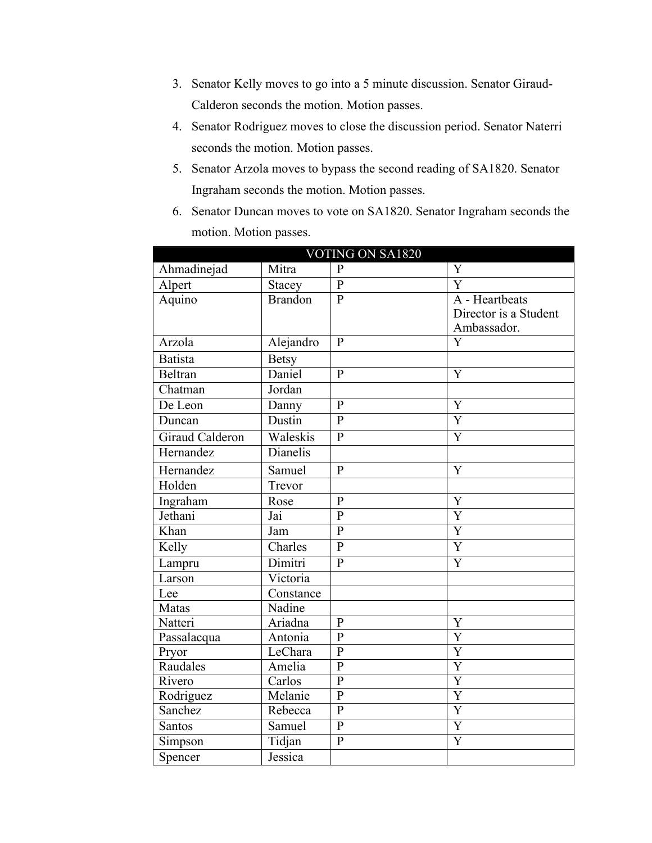- 3. Senator Kelly moves to go into a 5 minute discussion. Senator Giraud-Calderon seconds the motion. Motion passes.
- 4. Senator Rodriguez moves to close the discussion period. Senator Naterri seconds the motion. Motion passes.
- 5. Senator Arzola moves to bypass the second reading of SA1820. Senator Ingraham seconds the motion. Motion passes.
- 6. Senator Duncan moves to vote on SA1820. Senator Ingraham seconds the motion. Motion passes.

| <b>VOTING ON SA1820</b> |                |                |                         |
|-------------------------|----------------|----------------|-------------------------|
| Ahmadinejad             | Mitra          | $\mathbf{P}$   | Y                       |
| Alpert                  | Stacey         | $\mathbf{P}$   | Ÿ                       |
| Aquino                  | <b>Brandon</b> | $\mathbf{P}$   | A - Heartbeats          |
|                         |                |                | Director is a Student   |
|                         |                |                | Ambassador.             |
| Arzola                  | Alejandro      | $\mathbf{P}$   | $\overline{\rm Y}$      |
| <b>Batista</b>          | <b>Betsy</b>   |                |                         |
| <b>Beltran</b>          | Daniel         | $\mathbf{P}$   | Y                       |
| Chatman                 | Jordan         |                |                         |
| $\overline{De}$ Leon    | Danny          | $\mathbf{p}$   | Y                       |
| Duncan                  | Dustin         | $\overline{P}$ | $\overline{Y}$          |
| <b>Giraud Calderon</b>  | Waleskis       | $\mathbf{P}$   | Y                       |
| Hernandez               | Dianelis       |                |                         |
| Hernandez               | Samuel         | $\mathbf{P}$   | $\overline{\text{Y}}$   |
| Holden                  | Trevor         |                |                         |
| Ingraham                | Rose           | $\mathbf{P}$   | Y                       |
| Jethani                 | Jai            | $\mathbf{P}$   | $\overline{\rm Y}$      |
| Khan                    | Jam            | $\overline{P}$ | $\overline{\mathrm{Y}}$ |
| Kelly                   | Charles        | $\mathbf{P}$   | Y                       |
| Lampru                  | Dimitri        | $\overline{P}$ | $\overline{\text{Y}}$   |
| Larson                  | Victoria       |                |                         |
| Lee                     | Constance      |                |                         |
| Matas                   | Nadine         |                |                         |
| Natteri                 | Ariadna        | $\mathbf{P}$   | Y                       |
| Passalacqua             | Antonia        | $\mathbf{P}$   | Y                       |
| Pryor                   | LeChara        | $\overline{P}$ | $\overline{\text{Y}}$   |
| Raudales                | Amelia         | $\mathbf{P}$   | Y                       |
| Rivero                  | Carlos         | $\overline{P}$ | $\overline{\text{Y}}$   |
| Rodriguez               | Melanie        | $\overline{P}$ | Y                       |
| Sanchez                 | Rebecca        | $\mathbf{P}$   | $\overline{\text{Y}}$   |
| <b>Santos</b>           | Samuel         | $\mathbf{P}$   | $\overline{Y}$          |
| Simpson                 | Tidjan         | $\mathbf{P}$   | $\overline{\text{Y}}$   |
| Spencer                 | Jessica        |                |                         |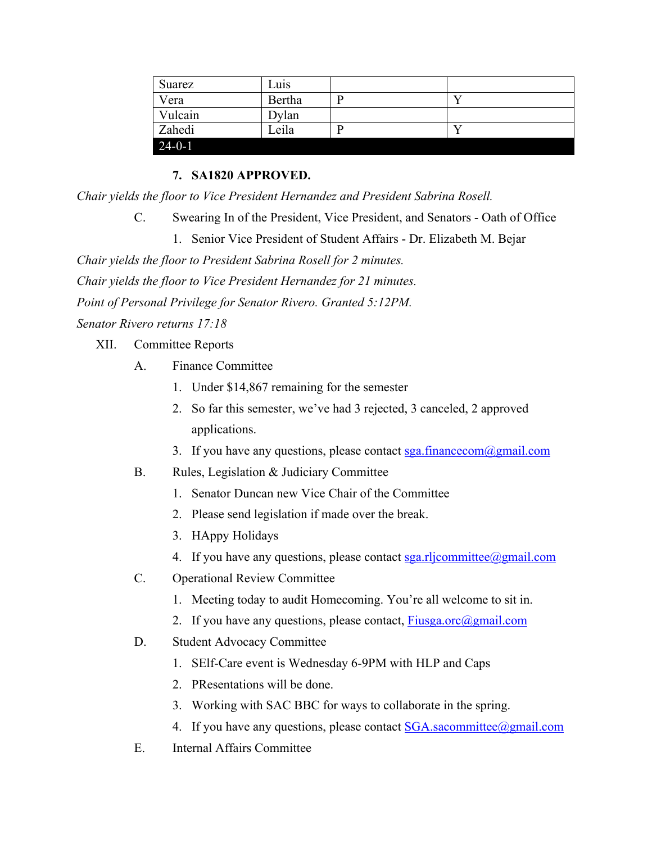| Suarez       | Luis   |  |
|--------------|--------|--|
| Vera         | Bertha |  |
| Vulcain      | Dylan  |  |
| Zahedi       | Leila  |  |
| $24 - 0 - 1$ |        |  |

## **7. SA1820 APPROVED.**

*Chair yields the floor to Vice President Hernandez and President Sabrina Rosell.*

C. Swearing In of the President, Vice President, and Senators - Oath of Office

1. Senior Vice President of Student Affairs - Dr. Elizabeth M. Bejar

*Chair yields the floor to President Sabrina Rosell for 2 minutes. Chair yields the floor to Vice President Hernandez for 21 minutes. Point of Personal Privilege for Senator Rivero. Granted 5:12PM. Senator Rivero returns 17:18*

XII. Committee Reports

- A. Finance Committee
	- 1. Under \$14,867 remaining for the semester
	- 2. So far this semester, we've had 3 rejected, 3 canceled, 2 approved applications.
	- 3. If you have any questions, please contact  $sga.financecom@gmail.com$
- B. Rules, Legislation & Judiciary Committee
	- 1. Senator Duncan new Vice Chair of the Committee
	- 2. Please send legislation if made over the break.
	- 3. HAppy Holidays
	- 4. If you have any questions, please contact  $sga.rli committe@gmail.com$
- C. Operational Review Committee
	- 1. Meeting today to audit Homecoming. You're all welcome to sit in.
	- 2. If you have any questions, please contact,  $Fixg$  a.orc $(\partial g$  mail.com
- D. Student Advocacy Committee
	- 1. SElf-Care event is Wednesday 6-9PM with HLP and Caps
	- 2. PResentations will be done.
	- 3. Working with SAC BBC for ways to collaborate in the spring.
	- 4. If you have any questions, please contact  $SGA$ . sacommittee  $@g$  mail.com
- E. Internal Affairs Committee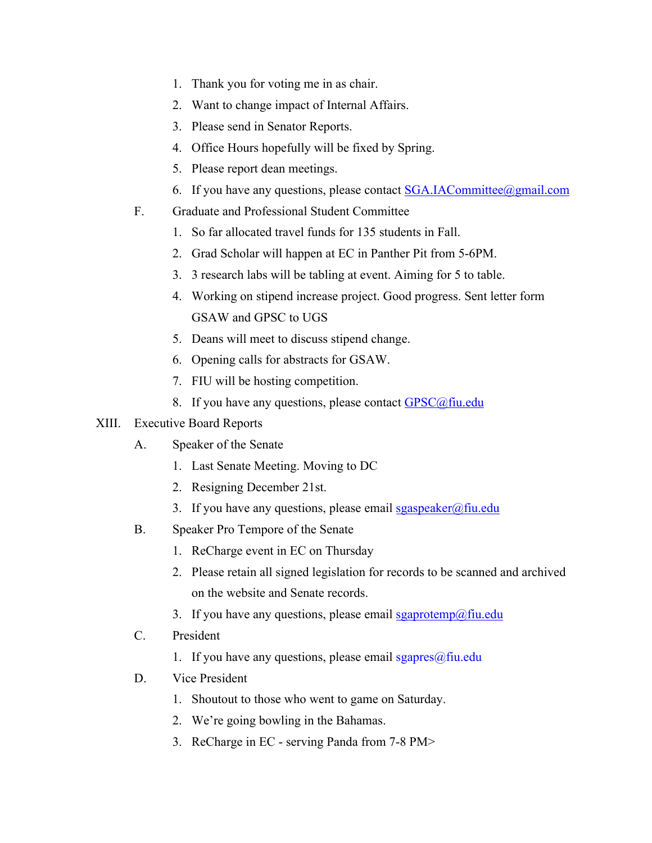- 1. Thank you for voting me in as chair.
- 2. Want to change impact of Internal Affairs.
- 3. Please send in Senator Reports.
- 4. Office Hours hopefully will be fixed by Spring.
- 5. Please report dean meetings.
- 6. If you have any questions, please contact  $SGA.IACommittee@gmail.com$
- F. Graduate and Professional Student Committee
	- 1. So far allocated travel funds for 135 students in Fall.
	- 2. Grad Scholar will happen at EC in Panther Pit from 5-6PM.
	- 3. 3 research labs will be tabling at event. Aiming for 5 to table.
	- 4. Working on stipend increase project. Good progress. Sent letter form GSAW and GPSC to UGS
	- 5. Deans will meet to discuss stipend change.
	- 6. Opening calls for abstracts for GSAW.
	- 7. FIU will be hosting competition.
	- 8. If you have any questions, please contact  $GPSC(\hat{\omega})$  fiu.edu
- XIII. Executive Board Reports
	- A. Speaker of the Senate
		- 1. Last Senate Meeting. Moving to DC
		- 2. Resigning December 21st.
		- 3. If you have any questions, please email  $sgaspeaker@final$
	- B. Speaker Pro Tempore of the Senate
		- 1. ReCharge event in EC on Thursday
		- 2. Please retain all signed legislation for records to be scanned and archived on the website and Senate records.
		- 3. If you have any questions, please email  $sgaprotemp@final$
	- C. President
		- 1. If you have any questions, please email  $sgapres(\omega)$ fiu.edu
	- D. Vice President
		- 1. Shoutout to those who went to game on Saturday.
		- 2. We're going bowling in the Bahamas.
		- 3. ReCharge in EC serving Panda from 7-8 PM>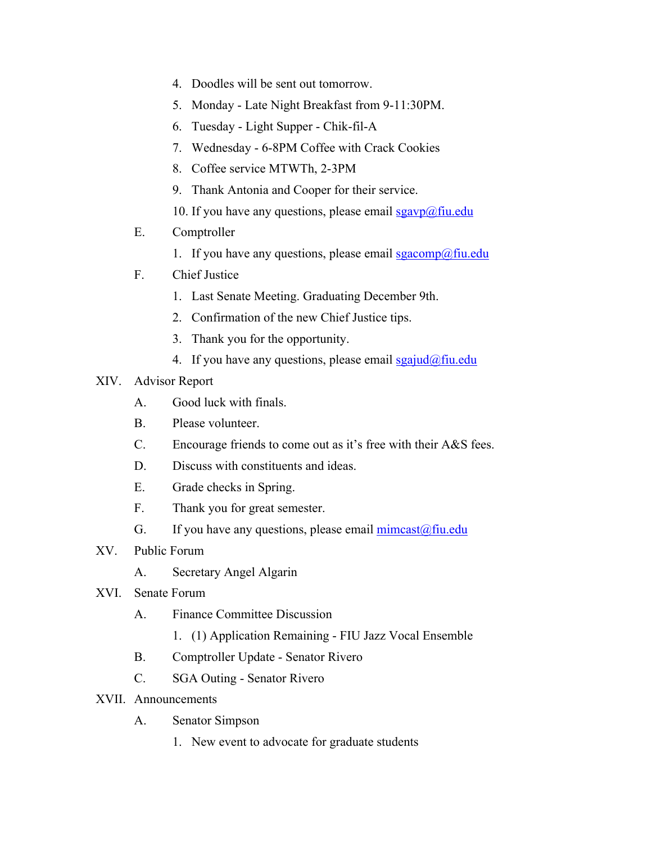- 4. Doodles will be sent out tomorrow.
- 5. Monday Late Night Breakfast from 9-11:30PM.
- 6. Tuesday Light Supper Chik-fil-A
- 7. Wednesday 6-8PM Coffee with Crack Cookies
- 8. Coffee service MTWTh, 2-3PM
- 9. Thank Antonia and Cooper for their service.
- 10. If you have any questions, please email  $sgavp(\omega)$ fiu.edu
- E. Comptroller
	- 1. If you have any questions, please email sgacomp@fiu.edu
- F. Chief Justice
	- 1. Last Senate Meeting. Graduating December 9th.
	- 2. Confirmation of the new Chief Justice tips.
	- 3. Thank you for the opportunity.
	- 4. If you have any questions, please email  $sgajud(\omega f\text{in.edu})$

## XIV. Advisor Report

- A. Good luck with finals.
- B. Please volunteer.
- C. Encourage friends to come out as it's free with their A&S fees.
- D. Discuss with constituents and ideas.
- E. Grade checks in Spring.
- F. Thank you for great semester.
- G. If you have any questions, please email  $\text{mincast}(\hat{a})$  fiu.edu
- XV. Public Forum
	- A. Secretary Angel Algarin
- XVI. Senate Forum
	- A. Finance Committee Discussion
		- 1. (1) Application Remaining FIU Jazz Vocal Ensemble
	- B. Comptroller Update Senator Rivero
	- C. SGA Outing Senator Rivero
- XVII. Announcements
	- A. Senator Simpson
		- 1. New event to advocate for graduate students